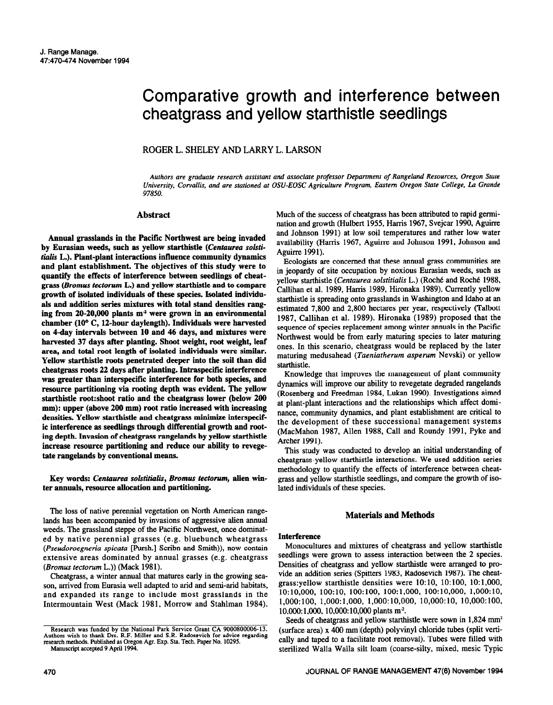# Comparative growth and interference between cheatgrass and yellow starthistle seedlings

# ROGER L. SHELEY AND LARRY L. LARSON

*Authors are graduate research assistant and associate professor Department of Rangeland Resources, Oregon State University. Cowallis. and are stationed at OSU-EOSC Agriculture Program, Eastern Oregon State College, La Grande 97850.* 

## **Abstract**

**Annual grasslands in the Pacific Northwest are being invaded**  by Eurasian weeds, such as yellow starthistle (*Centaurea solsti***tiolis L.). Plant-plant interactions intluence community dynamics and plant establishment. The objectives of this study were to quantify the effects of interference between seedlings of cheatgrass** *(Bromus tecforum* **L.) and yellow starthiitle and to compare growth of isolated individuals of these species. Isolated indivlduals and addition series mixtures with total stand densities rang**ing from 20-20,000 plants m<sup>2</sup> were grown in an environmental **chamber (10" C, 12-hour daylength). Individuals were harvested on 4-day intervals between 10 and 46 days, and mixtures were harvested 37 days after planting. Shoot weight, root weight, leaf area, and total root length of isolated individuals were similar.**  Yellow starthistle roots penetrated deeper into the soil than did **cheatgrass roots 22 days alter planting. Intraspecific interference was greater than interspecific interference for both species, and resource partitioning via rooting depth was evident. The yellow starthistle root:shoot ratio and the cheatgrass lower (below 200 mm): upper (above 200 mm) root ratio increased with increasing**  densities. Yellow starthistle and cheatgrass minimize interspecif**ic interference as seedlings through differential growth and rooting depth. Invasion of cheatgrass rangelands by yellow starthistle increase resource partitioning and reduce our ability to revegetate rangelands by conventional means.** 

**Key words:** *Centaurea solstihlis, Bromus tectorum,* **alien winter annuals, resource allocation and partitioning.** 

The loss of native perennial vegetation on North American rangelands has been accompanied by invasions of aggressive alien annual weeds. The grassland steppe of the Pacific Northwest, once dominated by native perennial grasses (e.g. bluebunch wheatgrass *(Pseudoroegneria spicata* [Pursh.] Scribn and Smith)), now contain extensive areas dominated by annual grasses (e.g. cheatgrass *(Bromus tectorum* L.)) (Mack 1981).

Cheatgrass, a winter annual that matures early in the growing season, arrived from Eurasia well adapted to arid and semi-arid habitats, and expanded its range to include most grasslands in the Intermountain West (Mack 1981, Morrow and Stahlman 1984). Much of the success of cheatgrass has been attributed to rapid germination and growth (Hulbert 1955, Harris 1967, Svejcar 1990, Aguirre and Johnson 1991) at low soil temperatures and rather low water availability (Harris 1967, Aguirre and Johnson 1991, Johnson and Aguirre 1991).

Ecologists are concerned that these annual grass communities are in jeopardy of site occupation by noxious Eurasian weeds, such as yellow starthistle *(Centuurea sofstitiulis* L.) (Roche and Roch6 1988, Callihan et al. 1989, Harris 1989, Hironaka 1989). Currently yellow starthistle is spreading onto grasslands in Washington and Idaho at an estimated 7,800 and 2,800 hectares per year, respectively (Talbott 1987, Callihan et al. 1989). Hironaka (1989) proposed that the sequence of species replacement among winter annuals in the Pacific Northwest would be from early maturing species to later maturing ones. In this scenario, cheatgrass would be replaced by the later maturing medusahead (Taeniatherum asperum Nevski) or yellow starthistle.

Knowledge that improves the management of plant community dynamics will improve our ability to revegetate degraded rangelands (Rosenberg and Freedman 1984, Lukan 1990). Investigations aimed at plant-plant interactions and the relationships which affect dominance, community dynamics, and plant establishment are critical to the development of these successional management systems (MacMahon 1987, Allen 1988, Call and Roundy 1991, Pyke and Archer 1991).

This study was conducted to develop an initial understanding of cheatgrass-yellow starthistle interactions. We used addition series methodology to quantify the effects of interference between cheatgrass and yellow starthistle seedlings, and compare the growth of isolated individuals of these species.

## **Materials and Methods**

## **Interference**

Monocultures and mixtures of cheatgrass and yellow starthistle seedlings were grown to assess interaction between the 2 species. Densities of cheatgrass and yellow starthistle were arranged to provide an addition series (Spitters 1983, Radosevich 1987). The cheatgrass:yellow starthistle densities were 10: 10, lO:lOO, lO:l,OOO, 10:10,000, lOO:lO, 100:100, 100:1,000, 100:10,000, 1,000:10, 1,000:100, 1,000:1,000, 1,000:10,000, 10,000:10, 10,000:100,  $10,000:1,000$ ,  $10,000:10,000$  plants m<sup>2</sup>.

Seeds of cheatgrass and yellow starthistle were sown in 1,824 mm<sup>2</sup> (surface area) x 400 mm i(depth) polyvinyl chloride tubes (split vertically and taped to a facilitate root removal). Tubes were filled with sterilized Walla Walla silt loam (coarse-silty, mixed, mesic Typic

Research was funded by the National Park Service Grant CA 9000800006-13. Authors wish to thank Drs. R.F. Miller and S.R. Radosevich for advice regarding research methods. Published as Oregon Agr. Exp. Sta. Tech. Paper No. 10295. Manuscript accepted 9 April 1994.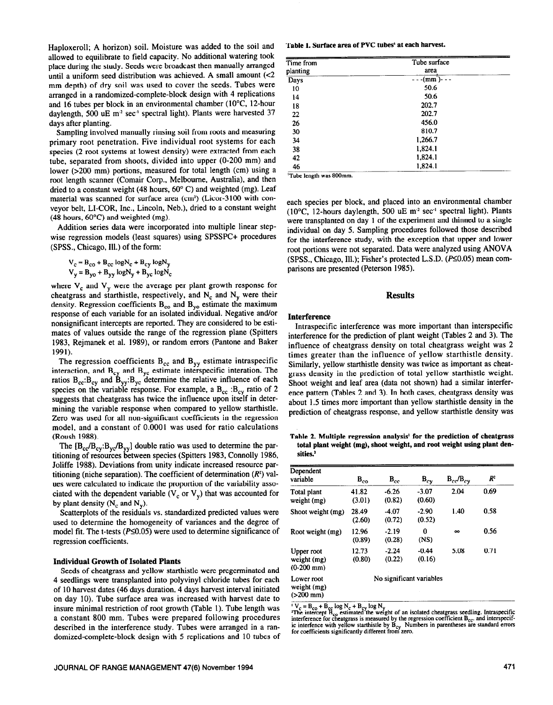Haploxeroll; A horizon) soil. Moisture was added to the soil and allowed to equilibrate to field capacity. No additional watering took place during the study. Seeds were broadcast then manually arranged until a uniform seed distribution was achieved. A small amount  $\ll 2$ mm depth) of dry soil was **used to** cover the seeds. Tubes were arranged in a randomized-complete-block design with 4 replications and 16 tubes per block in an environmental chamber (IO'C, 12-hour daylength, 500 uE m<sup>2</sup> sec<sup>1</sup> spectral light). Plants were harvested 37 days after planting.

Sampling involved manually rinsing soil from roots and measuring primary root penetration. Five individual root systems for each species (2 root systems at lowest density) were extracted from each tube, separated from shoots, divided into upper (O-200 mm) and lower (>200 mm) portions, measured for total length (cm) using a root length scanner (Comair Corp., Melbourne, Australia), and then dried to a constant weight (48 hours, 60° C) and weighted (mg). Leaf material was scanned for surface area (cm<sup>2</sup>) (Licor-3100 with conveyor belt, LI-COR, Inc., Lincoln, Neb.), dried to a constant weight (48 hours, 6O'C) and weighted (mg).

Addition series data were incorporated into multiple linear stepwise regression models (least squares) using SPSSPC+ procedures (SPSS., Chicago, Ill.) of the form:

$$
V_c = B_{co} + B_{cc} \log N_c + B_{cy} \log N_y
$$
  

$$
V_v = B_{vo} + B_{vv} \log N_v + B_{vc} \log N_c
$$

where  $V_c$  and  $V_v$  were the average per plant growth response for cheatgrass and starthistle, respectively, and  $N_c$  and  $N_v$  were their density. Regression coefficients  $B_{\rm co}$  and  $B_{\rm vo}$  estimate the maximum response of each variable for an isolated individual. Negative and/or nonsignificant intercepts are reported. They are considered to be estimates of values outside the range of the regression plane (Spitters 1983, Rejmanek et al. 1989), or random errors (Pantone and Baker 1991).

The regression coefficients  $B_{cc}$  and  $B_{yy}$  estimate intraspecific interaction, and  $B_{cy}$  and  $B_{yc}$  estimate interspecific interation. The ratios  $B_{cc}$ : $B_{cv}$  and  $B_{vv}$ : $B_{vc}$  determine the relative influence of each species on the variable response. For example, a  $B_{cc}$ :  $B_{cy}$  ratio of 2 suggests that cheatgrass has twice the influence upon itself in determining the variable response when compared to yellow starthistle. Zero was used for all non-significant coefficients in the regression model, and a constant of 0.0001 was used for ratio calculations (Roush 1988).

The  $[B_{cc}B_{cy}:B_{yc}B_{yy}]$  double ratio was used to determine the partitioning of resources between species (Spitters 1983, Connolly 1986, Joliffe 1988). Deviations from unity indicate increased resource partitioning (niche separation). The coefficient of determination  $(R^2)$  values were calculated to indicate the proportion of the variability associated with the dependent variable ( $V_c$  or  $V_y$ ) that was accounted for by plant density  $(N_c \text{ and } N_y)$ .

Scatterplots of the residuals vs. standardized predicted values were used to determine the homogeneity of variances and the degree of model fit. The t-tests ( $P \le 0.05$ ) were used to determine significance of regression coefficients.

## **Individual Growth of Isolated Plants**

Seeds of cheatgrass and yellow starthistle were pregerminated and 4 seedlings were transplanted into polyvinyl chloride tubes for each of 10 harvest dates (46 days duration, 4 days harvest interval initiated on day 10). Tube surface area was increased with harvest date to insure minimal restriction of root growth (Table 1). Tube length was a constant 800 mm. Tubes were prepared following procedures described in the interference study. Tubes were arranged in a randomized-complete-block design with 5 replications and 10 tubes of

#### **Table 1. Surface area of PVC tubes' at each harvest.**

| Time from | Tube surface  |  |
|-----------|---------------|--|
| planting  | area          |  |
| Days      | $-(mm)$ - - - |  |
| 10        | 50.6          |  |
| 14        | 50.6          |  |
| 18        | 202.7         |  |
| 22        | 202.7         |  |
| 26        | 456.0         |  |
| 30        | 810.7         |  |
| 34        | 1,266.7       |  |
| 38        | 1,824.1       |  |
| 42        | 1,824.1       |  |
| 46        | 1,824.1       |  |

**'Tube length was 8OOmm.** 

each species per block, and placed into an environmental chamber (10 $^{\circ}$ C, 12-hours daylength, 500 uE m<sup>2</sup> sec<sup>-1</sup> spectral light). Plants were transplanted on day 1 of the experiment and thinned to a single individual on day 5. Sampling procedures followed those described for the interference study, with the exception that upper and lower root portions were not separated. Data were analyzed using ANOVA (SPSS., Chicago, Ill.); Fisher's protected L.S.D. (P<0.05) mean comparisons are presented (Peterson 1985).

## **Results**

#### **Interference**

Intraspecific interference was more important than interspecific interference for the prediction of plant weight (Tables 2 and 3). The influence of cheatgrass density on total cheatgrass weight was 2 times greater than the influence of yellow starthistle density. Similarly, yellow starthistle density was twice as important as cheatgrass density in the prediction of total yellow starthistle weight. Shoot weight and leaf area (data not shown) had a similar interference pattern (Tables 2 and 3). In both cases, cheatgrass density was about 1.5 times more important than yellow starthistle density in the prediction of cheatgrass response, and yellow starthistle density was

**Table 2.** Multiple **regression analysis' for the prediction of cheatgrass total plant weight (mg), shoot weight, and root weight using plant densities.\*** 

| Dependent<br>variable                         | $B_{c0}$        | $B_{cc}$                 | $B_{cy}$          | $B_{cc}$ / $B_{cy}$ | $R^2$ |  |
|-----------------------------------------------|-----------------|--------------------------|-------------------|---------------------|-------|--|
| Total plant<br>weight (mg)                    | 41.82<br>(3.01) | $-6.26$<br>(0.82)        | $-3.07$<br>(0.60) | 2.04                | 0.69  |  |
| Shoot weight (mg)                             | 28.49<br>(2.60) | -4.07<br>(0.72)          | $-2.90$<br>(0.52) | 1.40                | 0.58  |  |
| Root weight (mg)                              | 12.96<br>(0.89) | $-2.19$<br>(0.28)        | 0<br>(NS)         | $\infty$            | 0.56  |  |
| Upper root<br>weight (mg)<br>$(0-200$ mm)     | 12.73<br>(0.80) | $-2.24$<br>(0.22)        | $-0.44$<br>(0.16) | 5.08                | 0.71  |  |
| Lower root<br>weight (mg)<br>$( > 200$ mm $)$ |                 | No significant variables |                   |                     |       |  |

 $V_C = D_{CO} + D_{CC}$  tog  $N_C + D_{CY}$  fog  $N_T$ <br>The intercept  $B_{CO}$ , estimated the weight of an isolated cheatgrass seedling. Intraspecific<br>interference for cheatgrass is measured by the regression coefficient  $B_{CC}$ , and interspe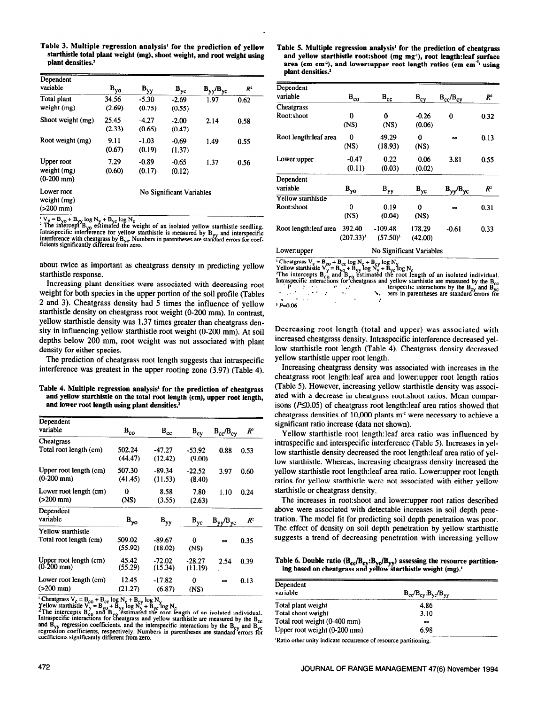Table 3. Multiple regression analysis' **for the prediction of yellow startbistle total plant weight (mg), shoot weight, and root weight using plant densities?** 

| Dependent<br>variable                        | $B_{\gamma o}$  | $B_{yy}$          | $B_{yc}$                 | $B_{yy}/B_{yc}$ | $R^2$ |
|----------------------------------------------|-----------------|-------------------|--------------------------|-----------------|-------|
| Total plant<br>weight (mg)                   | 34.56<br>(2.69) | $-5.30$<br>(0.75) | $-2.69$<br>(0.55)        | 1.97            | 0.62  |
| Shoot weight (mg)                            | 25.45<br>(2.33) | $-4.27$<br>(0.65) | $-2.00$<br>(0.47)        | 2.14            | 0.58  |
| Root weight (mg)                             | 9.11<br>(0.67)  | $-1.03$<br>(0.19) | $-0.69$<br>(1.37)        | 1.49            | 0.55  |
| Upper root<br>weight (mg)<br>$(0-200$ mm $)$ | 7.29<br>(0.60)  | $-0.89$<br>(0.17) | $-0.65$<br>(0.12)        | 1.37            | 0.56  |
| Lower root<br>weight (mg)<br>$( > 200$ mm)   |                 |                   | No Significant Variables |                 |       |

 $\gamma_y = B_{y0} + B_{yy} \log N_y + B_{yc} \log N_c$ <br>The intercept  $B_{y0}$  estimated the weight of an isolated yellow starthistle seedling.<br>Intraspecific interference for yellow starthistle is measured by  $B_{yy}$  and interspecific<br>interference

about twice as important as cheatgrass density in predicting yellow starthistle response.

Increasing plant densities were associated with decreasing root weight for both species in the upper portion of the soil profile (Tables 2 and 3). Cheatgrass density had 5 times the influence of yellow starthistle density on cheatgrass root weight (O-200 mm). In contrast, yellow starthistle density was 1.37 times greater than cheatgrass density in influencing yellow starthistle root weight (O-200 mm). At soil depths below 200 mm, root weight was not associated with plant density for either species.

The prediction of cheatgrass root length suggests that intraspecific interference was greatest in the upper rooting zone (3.97) (Table 4).

Table 4. Multiple **regression analysis' for the prediction of cheatgrass and yellow starthistle on the total root length (cm), upper root length, and lower root length using plant densities.'** 

| Dependent                                    |                   |                                     |                            |                     |                 |
|----------------------------------------------|-------------------|-------------------------------------|----------------------------|---------------------|-----------------|
| variable                                     | $B_{co}$          | $\mathbf{B}_{\mathrm{cc}}$          | $B_{cy}$                   | $B_{cc}$ / $B_{cv}$ | $R^2$           |
| Cheatgrass                                   |                   |                                     |                            |                     |                 |
| Total root length (cm)                       | 502.24<br>(44.47) | -47.27<br>(12.42)                   | $-53.92$<br>(9.00)         | 0.88                | 0.53            |
| Upper root length (cm)<br>$(0-200$ mm)       | 507.30<br>(41.45) | $-89.34$<br>(11.53)                 | $-22.52$<br>(8.40)         | 3.97                | 0.60            |
| Lower root length (cm)<br>$( > 200$ mm)      | 0<br>(NS)         | 8.58<br>(3.55)                      | 7.80<br>(2.63)             | 1.10                | 0.24            |
| Dependent<br>variable                        | $B_{yo}$          | $\mathbf{B}_{\mathbf{y}\mathbf{y}}$ | $\mathbf{B}_{\mathbf{yc}}$ | $B_{VV}/B_{VC}$     | $\mathcal{R}^2$ |
| Yellow starthistle<br>Total root length (cm) | 509.02<br>(55.92) | $-89.67$<br>(18.02)                 | 0<br>(NS)                  | $\infty$            | 0.35            |
| Upper root length (cm)<br>$(0-200$ mm)       | 45.42<br>(55.29)  | $-72.02$<br>(15.34)                 | $-28.27$<br>(11.19)        | 2.54                | 0.39            |
| Lower root length (cm)<br>$( > 200$ mm)      | 12.45<br>(21.27)  | $-17.82$<br>(6.87)                  | 0<br>(NS)                  | $\infty$            | 0.13            |

Cheatgrass  $V_c = B_{co} + B_{cc} \log N_c + B_{cy} \log N_v$ <br>Yellow starthistle  $V_y = B_{y0} + B_{yy} \log N_v$ <br>The intercepts  $B_{co}$  and  $B_{vy}$  estimated the root length of an isolated individual.<br>Intraspecific interactions for cheatgrass and yellow sta and  $B_{\rm v}$ , regression coefficients, and the interspecific interactions by the  $B_{\rm ev}$  and  $B_{\rm v}$  and  $B_{\rm v}$  regression coefficients, respectively. Numbers in parentheses are standard errors for coefficients signif

**Table 5. Multiple regression analysis' for the prediction of cheatgrass**  and yellow starthistle root:shoot (mg mg<sup>1</sup>), root length:leaf surface **area (cm cm3, and lower:upper root length ratios (cm cm'5 using plant densities?** 

| Dependent<br>variable  | $B_{co}$                   | $B_{cc}$                 | $B_{cy}$                   | $B_{cc}/B_{cv}$     | R <sup>2</sup> |
|------------------------|----------------------------|--------------------------|----------------------------|---------------------|----------------|
| Cheatgrass             |                            |                          |                            |                     |                |
| Root:shoot             | 0                          | 0                        | $-0.26$                    | 0                   | 0.32           |
|                        | (NS)                       | (NS)                     | (0.06)                     |                     |                |
| Root length: leaf area | 0                          | 49.29                    | 0                          | $\infty$            | 0.13           |
|                        | (NS)                       | (18.93)                  | (NS)                       |                     |                |
| Lower:upper            | $-0.47$                    | 0.22                     | 0.06                       | 3.81                | 0.55           |
|                        | (0.11)                     | (0.03)                   | (0.02)                     |                     |                |
| Dependent              |                            |                          |                            |                     |                |
| variable               | $\mathbf{B}_{\mathbf{yo}}$ | $B_{yy}$                 | $\mathbf{B}_{\mathbf{yc}}$ | $B_{VV}$ / $B_{VC}$ | R <sup>2</sup> |
| Yellow starthistle     |                            |                          |                            |                     |                |
| Root:shoot             | 0                          | 0.19                     | 0                          | $\infty$            | 0.31           |
|                        | (NS)                       | (0.04)                   | (NS)                       |                     |                |
| Root length:leaf area  | 392.40                     | $-109.48$                | 178.29                     | $-0.61$             | 0.33           |
|                        | $(207.33)^3$               | $(57.50)^3$              | (42.00)                    |                     |                |
| I awerunner            |                            | No Significant Variables |                            |                     |                |

Lower:upper<br>
Cheatgrass  $V_c = B_{co} + B_{cc} \log N_c + B_{cy} \log N_v$ <br>
Yellow starthistle  $V_y = B_{yo} + B_{xy} \log N_c$ <br>
Yellow starthistle  $V_y = B_{yo} \log N_c$ <br>
The intercepts  $B_{cy}$  and  $B_{yo}$  estimated the root length of an isolated individual.<br>
Intraspe р<br>11 the statement are measured by the  $B_{cy}$  and  $B_{yc}$  bers in parentheses are standard errors for  $\mathcal{L}^{\text{max}}$  $\mathbf{r}$  $\frac{1}{2}$   $\frac{p}{20.06}$ 

Decreasing root length (total and upper) was associated with increased cheatgrass density. Intraspecific interference decreased yellow starthistle root length (Table 4). Cheatgrass density decreased yellow starthistle upper root length.

Increasing cheatgrass density was associated with increases in the cheatgrass root 1ength:leaf area and 1ower:upper root length ratios (Table 5). However, increasing yellow starthistle density was associated with a decrease in cheatgrass root:shoot ratios. Mean comparisons ( $P\leq 0.05$ ) of cheatgrass root length:leaf area ratios showed that cheatgrass densities of 10,000 plants  $m<sup>2</sup>$  were necessary to achieve a significant ratio increase (data not shown).

Yellow starthistle root 1ength:leaf area ratio was influenced by intraspecific and interspecific interference (Table 5). Increases in yellow starthistle density decreased the root length: leaf area ratio of yellow starthistle. Whereas, increasing cheatgrass density increased the yellow starthistle root 1ength:leaf area ratio. Lower:upper root length ratios for yellow starthistle were not associated with either yellow starthistle or cheatgrass density.

The increases in root:shoot and 1ower:upper root ratios described above were associated with detectable increases in soil depth penetration. The model fit for predicting soil depth penetration was poor. The effect of density on soil depth penetration by yellow starthistle suggests a trend of decreasing penetration with increasing yellow

Table 6. Double ratio  $(B_{cc}/B_{cv};B_{vc}/B_{vv})$  assessing the resource partitioning based on cheatgrass and yellow starthistle weight (mg).<sup>1</sup>

| Dependent<br>variable        | $B_{cc}/B_{cy}$ : $B_{yc}/B_{yy}$ |
|------------------------------|-----------------------------------|
| Total plant weight           | 4.86                              |
| Total shoot weight           | 3.10                              |
| Total root weight (0-400 mm) | $\infty$                          |
| Upper root weight (0-200 mm) | 6.98                              |
| -                            |                                   |

**'Ratio other unity indicate occurrence of resource partitioning.**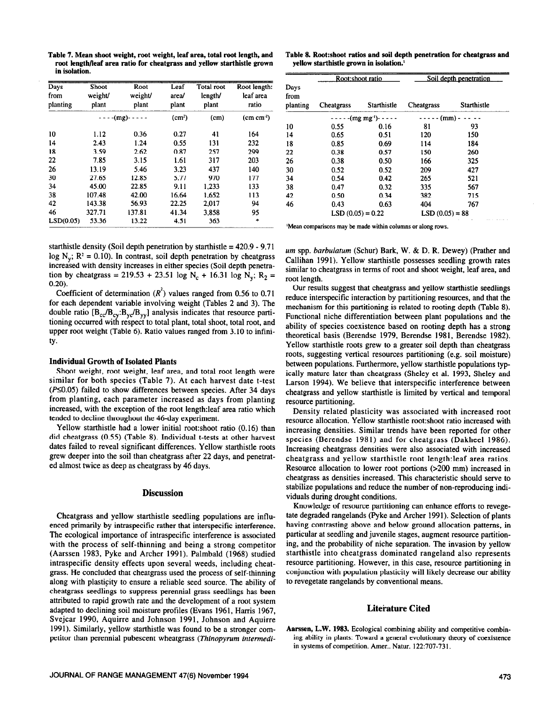| Table 7. Mean shoot weight, root weight, leaf area, total root length, and |  |  |
|----------------------------------------------------------------------------|--|--|
| root length/leaf area ratio for cheatgrass and vellow starthistle grown    |  |  |
| in isolation.                                                              |  |  |

| Days<br>from<br>planting | <b>Shoot</b><br>weight/<br>plant | Root<br>weight/<br>plant | Leaf<br>area/<br>plant | Total root<br>length/<br>plant | Root length:<br>leaf area<br>ratio |
|--------------------------|----------------------------------|--------------------------|------------------------|--------------------------------|------------------------------------|
|                          |                                  | $---(mg)----$            | (cm <sup>2</sup> )     | (c <sub>m</sub> )              | $(cm cm-2)$                        |
| 10                       | 1.12                             | 0.36                     | 0.27                   | 41                             | 164                                |
| 14                       | 2.43                             | 1.24                     | 0.55                   | 131                            | 232                                |
| 18                       | 3.59                             | 2.62                     | 0.87                   | 257                            | 299                                |
| 22                       | 7.85                             | 3.15                     | 1.61                   | 317                            | 203                                |
| 26                       | 13.19                            | 5.46                     | 3.23                   | 437                            | 140                                |
| 30                       | 27.65                            | 12.85                    | 5.77                   | 970                            | 177                                |
| 34                       | 45.00                            | 22.85                    | 9.11                   | 1,233                          | 133                                |
| 38                       | 107.48                           | 42.00                    | 16.64                  | 1.652                          | 113                                |
| 42                       | 143.38                           | 56.93                    | 22.25                  | 2.017                          | 94                                 |
| 46                       | 327.71                           | 137.81                   | 41.34                  | 3.858                          | 95                                 |
| LSD(0.05)                | 53.36                            | 13.22                    | 4.51                   | 363                            | $\ast$                             |

starthistle density (Soil depth penetration by starthistle =  $420.9 - 9.71$ log  $N_v$ ;  $R^2 = 0.10$ ). In contrast, soil depth penetration by cheatgrass increased with density increases in either species (Soil depth penetration by cheatgrass = 219.53 + 23.51 log N<sub>c</sub> + 16.31 log N<sub>v</sub>; R<sub>2</sub> = 0.20).

Coefficient of determination  $(R<sup>2</sup>)$  values ranged from 0.56 to 0.71 for each dependent variable involving weight (Tables 2 and 3). The double ratio  $[B_{cc}/B_{cy}:B_{yc}/B_{yy}]$  analysis indicates that resource partitioning occurred with respect to total plant, total shoot, total root, and upper root weight (Table 6). Ratio values ranged from 3.10 to infinity.

## **Individual Growth of Isolated Plants**

Shoot weight, root weight, leaf area, and total root length were similar for both species (Table 7). At each harvest date t-test ( $P\leq 0.05$ ) failed to show differences between species. After 34 days from planting, each parameter increased as days from planting increased, with the exception of the root length:leaf area ratio which tended to decline throughout the 46-day experiment.

Yellow starthistle had a lower initial root:shoot ratio (0.16) than did cheatgrass (0.55) (Table 8). Individual t-tests at other harvest dates failed to reveal significant differences. Yellow starthistle roots grew deeper into the soil than cheatgrass after 22 days, and penetrated almost twice as deep as cheatgrass by 46 days.

# **Discussion**

Cheatgrass and yellow starthistle seedling populations are influenced primarily by intraspecific rather that interspecific interference. The ecological importance of intraspecific interference is associated with the process of self-thinning and being a strong competitor (Aarssen 1983, Pyke and Archer 1991). Palmbald (1968) studied intraspecific density effects upon several weeds, including cheatgrass. He concluded that cheatgrass used the process of self-thinning along with plasticity to ensure a reliable seed source. The ability of cheatgrass seedlings to suppress perennial grass seedlings has been attributed to rapid growth rate and the development of a root system adapted to declining soil moisture profiles (Evans 1961, Harris 1967, Svejcar 1990, Aquirre and Johnson 1991, Johnson and Aquirre 1991). Similarly, yellow starthistle was found to be a stronger competitor than perennial pubescent wheatgrass *(Thinopyrum intermedi-*

**Table 8. Root:shoot ratios and soil depth penetration for cheatgrass and yellow starthistle grown in isolation.'** 

| Days<br>from |                    | Root:shoot ratio     |                  | Soil depth penetration |  |  |
|--------------|--------------------|----------------------|------------------|------------------------|--|--|
| planting     | <b>Cheatgrass</b>  | Starthistle          | Cheatgrass       | <b>Starthistle</b>     |  |  |
|              |                    | $---(mg mg-1) - ---$ | $---(mm)$        |                        |  |  |
| 10           | 0.55               | 0.16                 | 81               | 93                     |  |  |
| 14           | 0.65               | 0.51                 | 120              | 150                    |  |  |
| 18           | 0.85               | 0.69                 | 114              | 184                    |  |  |
| 22           | 0.38               | 0.57                 | 150              | 260                    |  |  |
| 26           | 0.38               | 0.50                 | 166              | 325                    |  |  |
| 30           | 0.52               | 0.52                 | 209              | 427                    |  |  |
| 34           | 0.54               | 0.42                 | 265              | 521                    |  |  |
| 38           | 0.47               | 0.32                 | 335              | 567                    |  |  |
| 42           | 0.50               | 0.34                 | 382              | 715                    |  |  |
| 46           | 0.43               | 0.63                 | 404              | 767                    |  |  |
|              | $LSD(0.05) = 0.22$ |                      | $LSD(0.05) = 88$ |                        |  |  |

'Mean comparisons may be made within columns or along rows.

um spp. *barbulatum* (Schur) Bark, W. & D. R. Dewey) (Prather and Callihan 1991). Yellow starthistle possesses seedling growth rates similar to cheatgrass in terms of root and shoot weight, leaf area, and root length.

Our results suggest that cheatgrass and yellow starthistle seedlings reduce interspecific interaction by partitioning resources, and that the mechanism for this partitioning is related to rooting depth (Table 8). Functional niche differentiation between plant populations and the ability of species coexistence based on rooting depth has a strong theoretical basis (Berendse 1979, Berendse 1981, Berendse 1982). Yellow starthistle roots grew to a greater soil depth than cheatgrass roots, suggesting vertical resources partitioning (e.g. soil moisture) between populations. Furthermore, yellow starthistle populations typically mature later than cheatgrass (Sheley et al. 1993, Sheley and Larson 1994). We believe that interspecific interference between cheatgrass and yellow starthistle is limited by vertical and temporal resource partitioning.

Density related plasticity was associated with increased root resource allocation. Yellow starthistle root:shoot ratio increased with increasing densities. Similar trends have been reported for other species (Berendse 1981) and for cheatgrass (Dakheel 1986). Increasing cheatgrass densities were also associated with increased cheatgrass and yellow starthistle root 1ength:leaf area ratios. Resource allocation to lower root portions (>200 mm) increased in cheatgrass as densities increased. This characteristic should serve to stabilize populations and reduce the number of non-reproducing individuals during drought conditions.

Knowledge of resource partitioning can enhance efforts to revegetate degraded rangelands (Pyke and Archer 1991). Selection of plants having contrasting above and below ground allocation patterns, in particular at seedling and juvenile stages, augment resource partitioning, and the probability of niche separation. The invasion by yellow starthistle into cheatgrass dominated rangeland also represents resource partitioning. However, in this case, resource partitioning in conjunction with population plasticity will likely decrease our ability to revegetate rangelands by conventional means.

## **Literature Cited**

**Aarssen, L.W. 1983.** Ecological combining ability and competitive combining ability in plants: Toward a general evolutionary theory of coexistence in systems of competition. Amer.. Natur. 122:707-731.